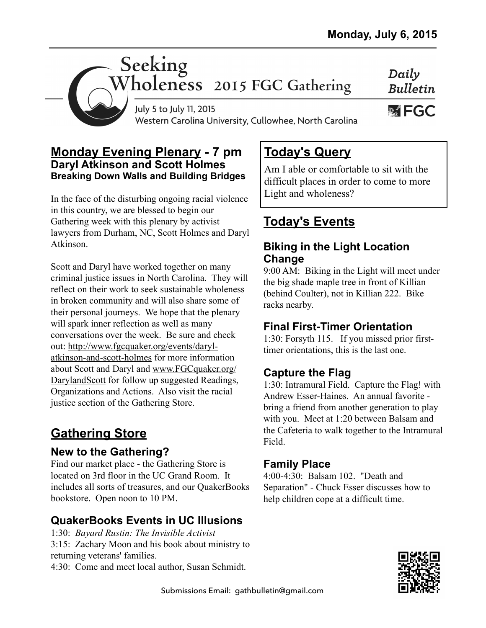Daily **Bulletin** 

**WEGC** 

# Seeking<br>Wholeness 2015 FGC Gathering

July 5 to July 11, 2015 Western Carolina University, Cullowhee, North Carolina

#### **Monday Evening Plenary - 7 pm Daryl Atkinson and Scott Holmes Breaking Down Walls and Building Bridges**

In the face of the disturbing ongoing racial violence in this country, we are blessed to begin our Gathering week with this plenary by activist lawyers from Durham, NC, Scott Holmes and Daryl Atkinson.

Scott and Daryl have worked together on many criminal justice issues in North Carolina. They will reflect on their work to seek sustainable wholeness in broken community and will also share some of their personal journeys. We hope that the plenary will spark inner reflection as well as many conversations over the week. Be sure and check [out: http://www.fgcquaker.org/events/daryl](http://www.fgcquaker.org/events/daryl-atkinson-and-scott-holmes)atkinson-and-scott-holmes for more information about Scott and Daryl and www.FGCquaker.org/ [DarylandScott for follow up suggested Readings,](http://www.FGCquaker.org/DarylandScott) Organizations and Actions. Also visit the racial justice section of the Gathering Store.

# **Gathering Store**

## **New to the Gathering?**

Find our market place - the Gathering Store is located on 3rd floor in the UC Grand Room. It includes all sorts of treasures, and our QuakerBooks bookstore. Open noon to 10 PM.

# **QuakerBooks Events in UC Illusions**

1:30: *Bayard Rustin: The Invisible Activist* 3:15: Zachary Moon and his book about ministry to returning veterans' families.

4:30: Come and meet local author, Susan Schmidt.

# **Today's Query**

Am I able or comfortable to sit with the difficult places in order to come to more Light and wholeness?

# **Today's Events**

#### **Biking in the Light Location Change**

9:00 AM: Biking in the Light will meet under the big shade maple tree in front of Killian (behind Coulter), not in Killian 222. Bike racks nearby.

#### **Final First-Timer Orientation**

1:30: Forsyth 115. If you missed prior firsttimer orientations, this is the last one.

# **Capture the Flag**

1:30: Intramural Field. Capture the Flag! with Andrew Esser-Haines. An annual favorite bring a friend from another generation to play with you. Meet at 1:20 between Balsam and the Cafeteria to walk together to the Intramural Field.

## **Family Place**

4:00-4:30: Balsam 102. "Death and Separation" - Chuck Esser discusses how to help children cope at a difficult time.